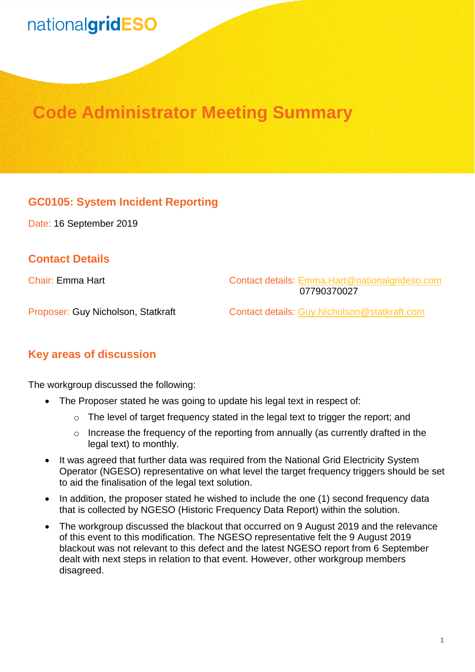# nationalgridESO

# **Code Administrator Meeting Summary**

### **GC0105: System Incident Reporting**

Date: 16 September 2019

### **Contact Details**

Chair: Emma Hart Contact details: [Emma.Hart@nationalgrideso.com](mailto:Emma.Hart@nationalgrideso.com)  07790370027

Proposer: Guy Nicholson, Statkraft Contact details: [Guy.Nicholson@statkraft.com](mailto:Guy.Nicholson@statkraft.com)

#### **Key areas of discussion**

The workgroup discussed the following:

- The Proposer stated he was going to update his legal text in respect of:
	- $\circ$  The level of target frequency stated in the legal text to trigger the report; and
	- o Increase the frequency of the reporting from annually (as currently drafted in the legal text) to monthly.
- It was agreed that further data was required from the National Grid Electricity System Operator (NGESO) representative on what level the target frequency triggers should be set to aid the finalisation of the legal text solution.
- In addition, the proposer stated he wished to include the one (1) second frequency data that is collected by NGESO (Historic Frequency Data Report) within the solution.
- The workgroup discussed the blackout that occurred on 9 August 2019 and the relevance of this event to this modification. The NGESO representative felt the 9 August 2019 blackout was not relevant to this defect and the latest NGESO report from 6 September dealt with next steps in relation to that event. However, other workgroup members disagreed.